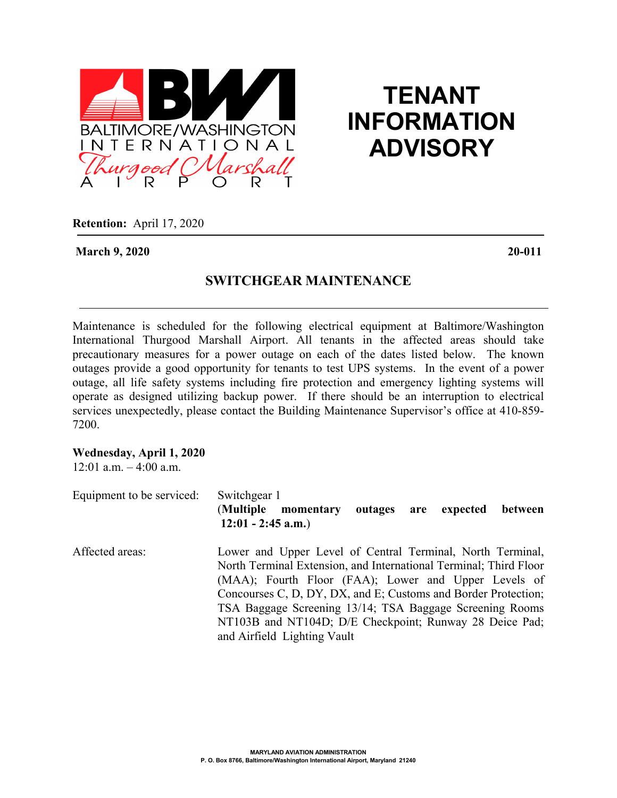

## **TENANT INFORMATION ADVISORY**

**Retention:** April 17, 2020

**March 9, 2020 20-011**

## **SWITCHGEAR MAINTENANCE**

Maintenance is scheduled for the following electrical equipment at Baltimore/Washington International Thurgood Marshall Airport. All tenants in the affected areas should take precautionary measures for a power outage on each of the dates listed below. The known outages provide a good opportunity for tenants to test UPS systems. In the event of a power outage, all life safety systems including fire protection and emergency lighting systems will operate as designed utilizing backup power. If there should be an interruption to electrical services unexpectedly, please contact the Building Maintenance Supervisor's office at 410-859- 7200.

## **Wednesday, April 1, 2020**

 $12:01$  a.m.  $-4:00$  a.m.

| Equipment to be serviced: | Switchgear 1<br>(Multiple)<br>outages are<br>between<br>expected<br>momentary<br>$12:01 - 2:45$ a.m.)                                                                                                                                                                                                                                                                                                           |
|---------------------------|-----------------------------------------------------------------------------------------------------------------------------------------------------------------------------------------------------------------------------------------------------------------------------------------------------------------------------------------------------------------------------------------------------------------|
| Affected areas:           | Lower and Upper Level of Central Terminal, North Terminal,<br>North Terminal Extension, and International Terminal; Third Floor<br>(MAA); Fourth Floor (FAA); Lower and Upper Levels of<br>Concourses C, D, DY, DX, and E; Customs and Border Protection;<br>TSA Baggage Screening 13/14; TSA Baggage Screening Rooms<br>NT103B and NT104D; D/E Checkpoint; Runway 28 Deice Pad;<br>and Airfield Lighting Vault |